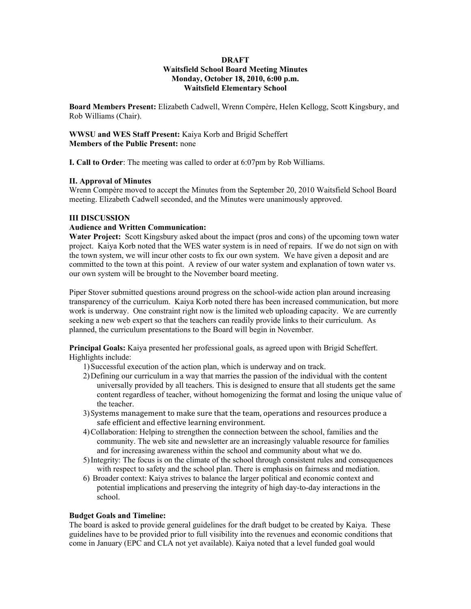### **DRAFT Waitsfield School Board Meeting Minutes Monday, October 18, 2010, 6:00 p.m. Waitsfield Elementary School**

**Board Members Present:** Elizabeth Cadwell, Wrenn Compère, Helen Kellogg, Scott Kingsbury, and Rob Williams (Chair).

**WWSU and WES Staff Present:** Kaiya Korb and Brigid Scheffert **Members of the Public Present:** none

**I. Call to Order**: The meeting was called to order at 6:07pm by Rob Williams.

# **II. Approval of Minutes**

Wrenn Compère moved to accept the Minutes from the September 20, 2010 Waitsfield School Board meeting. Elizabeth Cadwell seconded, and the Minutes were unanimously approved.

# **III DISCUSSION**

# **Audience and Written Communication:**

**Water Project:** Scott Kingsbury asked about the impact (pros and cons) of the upcoming town water project. Kaiya Korb noted that the WES water system is in need of repairs. If we do not sign on with the town system, we will incur other costs to fix our own system. We have given a deposit and are committed to the town at this point. A review of our water system and explanation of town water vs. our own system will be brought to the November board meeting.

Piper Stover submitted questions around progress on the school-wide action plan around increasing transparency of the curriculum. Kaiya Korb noted there has been increased communication, but more work is underway. One constraint right now is the limited web uploading capacity. We are currently seeking a new web expert so that the teachers can readily provide links to their curriculum. As planned, the curriculum presentations to the Board will begin in November.

**Principal Goals:** Kaiya presented her professional goals, as agreed upon with Brigid Scheffert. Highlights include:

- 1)Successful execution of the action plan, which is underway and on track.
- 2)Defining our curriculum in a way that marries the passion of the individual with the content universally provided by all teachers. This is designed to ensure that all students get the same content regardless of teacher, without homogenizing the format and losing the unique value of the teacher.
- 3)Systems management to make sure that the team, operations and resources produce a safe efficient and effective learning environment.
- 4)Collaboration: Helping to strengthen the connection between the school, families and the community. The web site and newsletter are an increasingly valuable resource for families and for increasing awareness within the school and community about what we do.
- 5)Integrity: The focus is on the climate of the school through consistent rules and consequences with respect to safety and the school plan. There is emphasis on fairness and mediation.
- 6) Broader context: Kaiya strives to balance the larger political and economic context and potential implications and preserving the integrity of high day-to-day interactions in the school.

#### **Budget Goals and Timeline:**

The board is asked to provide general guidelines for the draft budget to be created by Kaiya. These guidelines have to be provided prior to full visibility into the revenues and economic conditions that come in January (EPC and CLA not yet available). Kaiya noted that a level funded goal would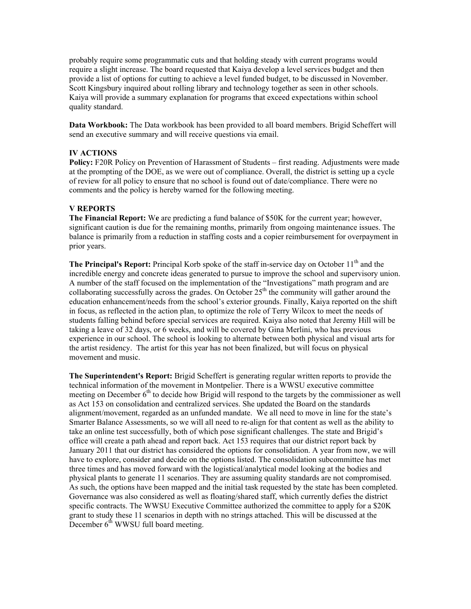probably require some programmatic cuts and that holding steady with current programs would require a slight increase. The board requested that Kaiya develop a level services budget and then provide a list of options for cutting to achieve a level funded budget, to be discussed in November. Scott Kingsbury inquired about rolling library and technology together as seen in other schools. Kaiya will provide a summary explanation for programs that exceed expectations within school quality standard.

**Data Workbook:** The Data workbook has been provided to all board members. Brigid Scheffert will send an executive summary and will receive questions via email.

# **IV ACTIONS**

**Policy:** F20R Policy on Prevention of Harassment of Students – first reading. Adjustments were made at the prompting of the DOE, as we were out of compliance. Overall, the district is setting up a cycle of review for all policy to ensure that no school is found out of date/compliance. There were no comments and the policy is hereby warned for the following meeting.

# **V REPORTS**

**The Financial Report:** W**e** are predicting a fund balance of \$50K for the current year; however, significant caution is due for the remaining months, primarily from ongoing maintenance issues. The balance is primarily from a reduction in staffing costs and a copier reimbursement for overpayment in prior years.

**The Principal's Report:** Principal Korb spoke of the staff in-service day on October 11<sup>th</sup> and the incredible energy and concrete ideas generated to pursue to improve the school and supervisory union. A number of the staff focused on the implementation of the "Investigations" math program and are collaborating successfully across the grades. On October  $25<sup>th</sup>$  the community will gather around the education enhancement/needs from the school's exterior grounds. Finally, Kaiya reported on the shift in focus, as reflected in the action plan, to optimize the role of Terry Wilcox to meet the needs of students falling behind before special services are required. Kaiya also noted that Jeremy Hill will be taking a leave of 32 days, or 6 weeks, and will be covered by Gina Merlini, who has previous experience in our school. The school is looking to alternate between both physical and visual arts for the artist residency. The artist for this year has not been finalized, but will focus on physical movement and music.

**The Superintendent's Report:** Brigid Scheffert is generating regular written reports to provide the technical information of the movement in Montpelier. There is a WWSU executive committee meeting on December  $6<sup>th</sup>$  to decide how Brigid will respond to the targets by the commissioner as well as Act 153 on consolidation and centralized services. She updated the Board on the standards alignment/movement, regarded as an unfunded mandate. We all need to move in line for the state's Smarter Balance Assessments, so we will all need to re-align for that content as well as the ability to take an online test successfully, both of which pose significant challenges. The state and Brigid's office will create a path ahead and report back. Act 153 requires that our district report back by January 2011 that our district has considered the options for consolidation. A year from now, we will have to explore, consider and decide on the options listed. The consolidation subcommittee has met three times and has moved forward with the logistical/analytical model looking at the bodies and physical plants to generate 11 scenarios. They are assuming quality standards are not compromised. As such, the options have been mapped and the initial task requested by the state has been completed. Governance was also considered as well as floating/shared staff, which currently defies the district specific contracts. The WWSU Executive Committee authorized the committee to apply for a \$20K grant to study these 11 scenarios in depth with no strings attached. This will be discussed at the December  $6<sup>th</sup>$  WWSU full board meeting.